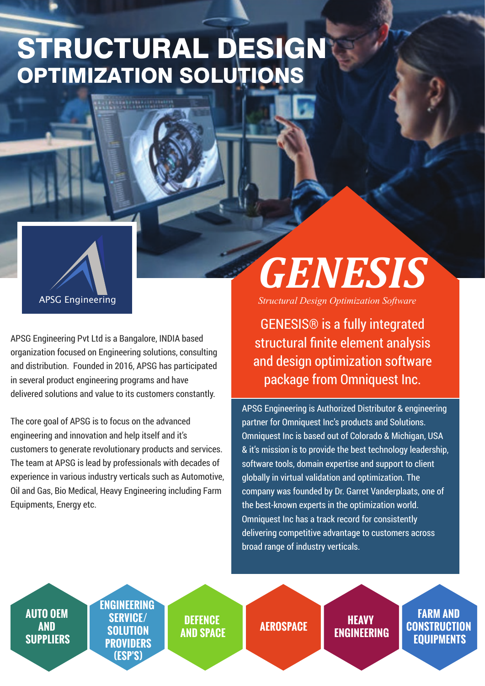## STRUCTURAL DESIGN OPTIMIZATION SOLUTIONS

APSG Engineering is Authorized Distributor & engineering partner for Omniquest Inc's products and Solutions. Omniquest Inc is based out of Colorado & Michigan, USA & it's mission is to provide the best technology leadership, software tools, domain expertise and support to client globally in virtual validation and optimization. The company was founded by Dr. Garret Vanderplaats, one of the best-known experts in the optimization world. Omniquest Inc has a track record for consistently

delivering competitive advantage to customers across broad range of industry verticals.

APSG Engineering Pvt Ltd is a Bangalore, INDIA based organization focused on Engineering solutions, consulting and distribution. Founded in 2016, APSG has participated in several product engineering programs and have delivered solutions and value to its customers constantly.

The core goal of APSG is to focus on the advanced engineering and innovation and help itself and it's customers to generate revolutionary products and services. The team at APSG is lead by professionals with decades of experience in various industry verticals such as Automotive, Oil and Gas, Bio Medical, Heavy Engineering including Farm Equipments, Energy etc.



GENESIS® is a fully integrated structural finite element analysis and design optimization software package from Omniquest Inc.

*GENESIS*

*Structural Design Optimization Software*